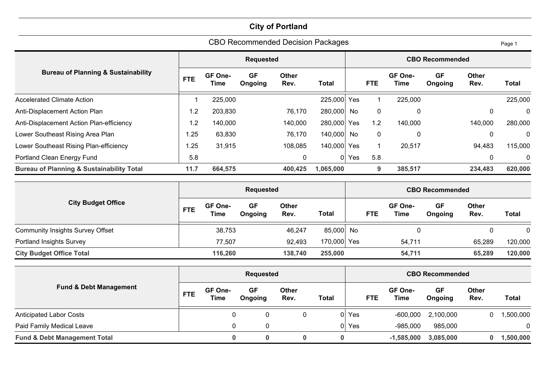| <b>CBO Recommended Decision Packages</b><br>Page 1   |            |                                 |                      |                      |             |       |             |                 |                        |                      |              |
|------------------------------------------------------|------------|---------------------------------|----------------------|----------------------|-------------|-------|-------------|-----------------|------------------------|----------------------|--------------|
|                                                      |            |                                 | <b>Requested</b>     |                      |             |       |             |                 | <b>CBO Recommended</b> |                      |              |
| <b>Bureau of Planning &amp; Sustainability</b>       | <b>FTE</b> | GF One-<br>Time                 | <b>GF</b><br>Ongoing | <b>Other</b><br>Rev. | Total       |       | <b>FTE</b>  | GF One-<br>Time | <b>GF</b><br>Ongoing   | <b>Other</b><br>Rev. | Total        |
| <b>Accelerated Climate Action</b>                    |            | 225,000                         |                      |                      | 225,000 Yes |       |             | 225,000         |                        |                      | 225,000      |
| Anti-Displacement Action Plan                        | 1.2        | 203,830                         |                      | 76,170               | 280,000 No  |       | $\pmb{0}$   | 0               |                        | 0                    | $\mathbf{0}$ |
| Anti-Displacement Action Plan-efficiency             | 1.2        | 140,000                         |                      | 140,000              | 280,000 Yes |       | 1.2         | 140,000         |                        | 140,000              | 280,000      |
| Lower Southeast Rising Area Plan                     | .25        | 63,830                          |                      | 76,170               | 140,000 No  |       | $\mathbf 0$ | 0               |                        | 0                    | 0            |
| Lower Southeast Rising Plan-efficiency               | l.25       | 31,915                          |                      | 108,085              | 140,000 Yes |       |             | 20,517          |                        | 94,483               | 115,000      |
| Portland Clean Energy Fund                           | 5.8        |                                 |                      | 0                    |             | 0 Yes | 5.8         |                 |                        | 0                    | 0            |
| <b>Bureau of Planning &amp; Sustainability Total</b> | 11.7       | 664,575<br>400,425<br>1,065,000 |                      |                      |             |       |             | 385,517         |                        | 234,483              | 620,000      |

|                                         | <b>Requested</b> |                        |               |                      |              |            | <b>CBO Recommended</b> |               |                      |              |  |  |  |
|-----------------------------------------|------------------|------------------------|---------------|----------------------|--------------|------------|------------------------|---------------|----------------------|--------------|--|--|--|
| <b>City Budget Office</b>               | <b>FTE</b>       | GF One-<br><b>Time</b> | GF<br>Ongoing | <b>Other</b><br>Rev. | <b>Total</b> | <b>FTE</b> | GF One-<br><b>Time</b> | GF<br>Ongoing | <b>Other</b><br>Rev. | <b>Total</b> |  |  |  |
| <b>Community Insights Survey Offset</b> |                  | 38,753                 |               | 46,247               | 85,000 No    |            |                        |               |                      | 0            |  |  |  |
| Portland Insights Survey                |                  | 77,507                 |               | 92,493               | 170,000 Yes  |            | 54,711                 |               | 65,289               | 120,000      |  |  |  |
| <b>City Budget Office Total</b>         |                  | 116,260                |               | 138,740              | 255,000      |            | 54,711                 |               | 65,289               | 120,000      |  |  |  |

|                                         | <b>Requested</b> |                        |               |                      |       |       | <b>CBO Recommended</b>               |                      |                      |              |  |  |
|-----------------------------------------|------------------|------------------------|---------------|----------------------|-------|-------|--------------------------------------|----------------------|----------------------|--------------|--|--|
| <b>Fund &amp; Debt Management</b>       | <b>FTE</b>       | GF One-<br><b>Time</b> | GF<br>Ongoing | <b>Other</b><br>Rev. | Total |       | GF One-<br><b>FTE</b><br><b>Time</b> | <b>GF</b><br>Ongoing | <b>Other</b><br>Rev. | <b>Total</b> |  |  |
| <b>Anticipated Labor Costs</b>          |                  | 0                      | 0             |                      |       | 0 Yes | $-600,000$                           | 2,100,000            |                      | 1,500,000    |  |  |
| Paid Family Medical Leave               |                  | 0                      | 0             |                      |       | Yes   | $-985,000$                           | 985,000              |                      | $\mathbf{0}$ |  |  |
| <b>Fund &amp; Debt Management Total</b> |                  |                        | 0             | 0                    |       |       | $-1,585,000$                         | 3,085,000            |                      | 1,500,000    |  |  |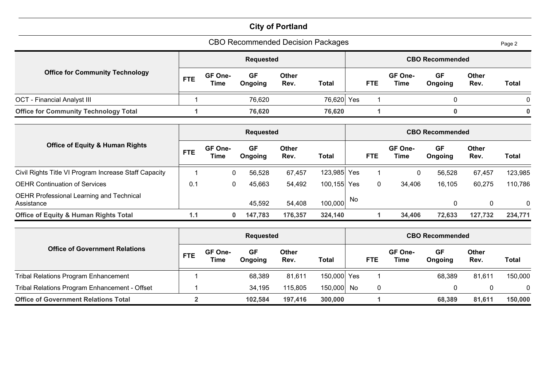| <b>CBO Recommended Decision Packages</b>               |                                                                                      |                 |                      |                      |              |     |            |                        |                        |                      | Page 2       |
|--------------------------------------------------------|--------------------------------------------------------------------------------------|-----------------|----------------------|----------------------|--------------|-----|------------|------------------------|------------------------|----------------------|--------------|
|                                                        |                                                                                      |                 | <b>Requested</b>     |                      |              |     |            |                        | <b>CBO Recommended</b> |                      |              |
| <b>Office for Community Technology</b>                 | <b>FTE</b>                                                                           | GF One-<br>Time | <b>GF</b><br>Ongoing | <b>Other</b><br>Rev. | <b>Total</b> |     | <b>FTE</b> | GF One-<br><b>Time</b> | <b>GF</b><br>Ongoing   | <b>Other</b><br>Rev. | <b>Total</b> |
| <b>OCT</b> - Financial Analyst III                     |                                                                                      |                 | 76,620               |                      | 76,620       | Yes |            |                        | 0                      |                      | 0            |
| <b>Office for Community Technology Total</b>           |                                                                                      |                 | 76,620               |                      | 76,620       |     |            |                        | $\bf{0}$               |                      | $\bf{0}$     |
|                                                        | <b>Requested</b><br><b>CBO Recommended</b>                                           |                 |                      |                      |              |     |            |                        |                        |                      |              |
| <b>Office of Equity &amp; Human Rights</b>             | <b>FTE</b>                                                                           | GF One-<br>Time | <b>GF</b><br>Ongoing | <b>Other</b><br>Rev. | <b>Total</b> |     | <b>FTE</b> | GF One-<br><b>Time</b> | <b>GF</b><br>Ongoing   | <b>Other</b><br>Rev. | <b>Total</b> |
| Civil Rights Title VI Program Increase Staff Capacity  |                                                                                      | 0               | 56,528               | 67,457               | 123,985      | Yes |            | 0                      | 56,528                 | 67,457               | 123,985      |
| <b>OEHR Continuation of Services</b>                   | 0.1                                                                                  | $\mathbf 0$     | 45,663               | 54,492               | 100, 155     | Yes | 0          | 34,406                 | 16,105                 | 60,275               | 110,786      |
| OEHR Professional Learning and Technical<br>Assistance |                                                                                      |                 | 45,592               | 54,408               | 100,000      | No  |            |                        | 0                      | 0                    | $\mathbf 0$  |
| <b>Office of Equity &amp; Human Rights Total</b>       | 34,406<br>1.1<br>147,783<br>176,357<br>324,140<br>72,633<br>127,732<br>$\bf{0}$<br>1 |                 |                      |                      |              |     |            |                        | 234,771                |                      |              |

|                                               | <b>Requested</b> |                        |               |               |         |      | <b>CBO Recommended</b> |                        |               |                      |              |  |  |
|-----------------------------------------------|------------------|------------------------|---------------|---------------|---------|------|------------------------|------------------------|---------------|----------------------|--------------|--|--|
| <b>Office of Government Relations</b>         | <b>FTE</b>       | GF One-<br><b>Time</b> | GF<br>Ongoing | Other<br>Rev. | Total   |      | <b>FTE</b>             | GF One-<br><b>Time</b> | GF<br>Ongoing | <b>Other</b><br>Rev. | <b>Total</b> |  |  |
| <b>Tribal Relations Program Enhancement</b>   |                  |                        | 68,389        | 81,611        | 150,000 | Yes  |                        |                        | 68,389        | 81,611               | 150,000      |  |  |
| Tribal Relations Program Enhancement - Offset |                  |                        | 34,195        | 115,805       | 150,000 | . No | $\mathbf 0$            |                        |               |                      | 0            |  |  |
| <b>Office of Government Relations Total</b>   |                  |                        | 102.584       | 197,416       | 300,000 |      |                        |                        | 68,389        | 81,611               | 150,000      |  |  |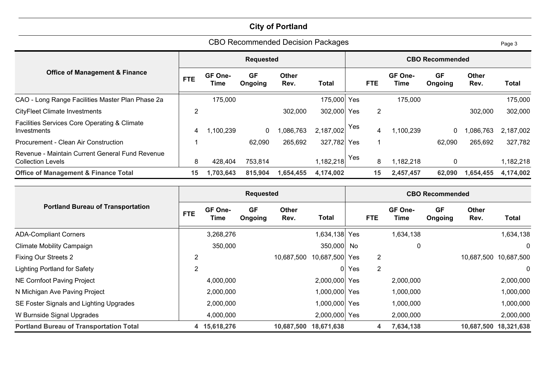|                                                                             |            |                 |                      | <b>CBO Recommended Decision Packages</b> |             |            |                |                 |                        |                      | Page 3       |
|-----------------------------------------------------------------------------|------------|-----------------|----------------------|------------------------------------------|-------------|------------|----------------|-----------------|------------------------|----------------------|--------------|
|                                                                             |            |                 | <b>Requested</b>     |                                          |             |            |                |                 | <b>CBO Recommended</b> |                      |              |
| <b>Office of Management &amp; Finance</b>                                   | <b>FTE</b> | GF One-<br>Time | <b>GF</b><br>Ongoing | <b>Other</b><br>Rev.                     | Total       |            | <b>FTE</b>     | GF One-<br>Time | <b>GF</b><br>Ongoing   | <b>Other</b><br>Rev. | <b>Total</b> |
| CAO - Long Range Facilities Master Plan Phase 2a                            |            | 175,000         |                      |                                          | 175,000 Yes |            |                | 175,000         |                        |                      | 175,000      |
| <b>CityFleet Climate Investments</b>                                        | 2          |                 |                      | 302,000                                  | 302,000     | <b>Yes</b> | $\overline{2}$ |                 |                        | 302,000              | 302,000      |
| Facilities Services Core Operating & Climate<br>Investments                 | 4          | ,100,239        | $\mathbf 0$          | ,086,763                                 | 2,187,002   | Yes        | 4              | 1,100,239       | 0                      | ,086,763             | 2,187,002    |
| Procurement - Clean Air Construction                                        |            |                 | 62,090               | 265,692                                  | 327,782     | <b>Yes</b> |                |                 | 62,090                 | 265,692              | 327,782      |
| Revenue - Maintain Current General Fund Revenue<br><b>Collection Levels</b> | 8          | 428,404         | 753,814              |                                          | 1,182,218   | Yes        | 8              | 1,182,218       | $\mathbf 0$            |                      | 1,182,218    |
| <b>Office of Management &amp; Finance Total</b>                             | 15         | 1,703,643       | 815,904              | 1,654,455                                | 4,174,002   |            | 15             | 2,457,457       | 62,090                 | 1,654,455            | 4,174,002    |

|                                                | <b>Requested</b> |                 |                      |                      |                | <b>CBO Recommended</b> |                |                 |                      |                      |                       |
|------------------------------------------------|------------------|-----------------|----------------------|----------------------|----------------|------------------------|----------------|-----------------|----------------------|----------------------|-----------------------|
| <b>Portland Bureau of Transportation</b>       | <b>FTE</b>       | GF One-<br>Time | <b>GF</b><br>Ongoing | <b>Other</b><br>Rev. | Total          |                        | <b>FTE</b>     | GF One-<br>Time | <b>GF</b><br>Ongoing | <b>Other</b><br>Rev. | <b>Total</b>          |
| <b>ADA-Compliant Corners</b>                   |                  | 3,268,276       |                      |                      | 1,634,138      | Yes                    |                | 1,634,138       |                      |                      | 1,634,138             |
| <b>Climate Mobility Campaign</b>               |                  | 350,000         |                      |                      | 350,000 No     |                        |                | 0               |                      |                      | $\mathbf{0}$          |
| <b>Fixing Our Streets 2</b>                    | $\overline{2}$   |                 |                      | 10,687,500           | 10,687,500 Yes |                        | $\overline{2}$ |                 |                      |                      | 10,687,500 10,687,500 |
| <b>Lighting Portland for Safety</b>            | $\overline{2}$   |                 |                      |                      | 0              | Yes                    | $\overline{2}$ |                 |                      |                      | $\mathbf 0$           |
| NE Cornfoot Paving Project                     |                  | 4,000,000       |                      |                      | 2,000,000 Yes  |                        |                | 2,000,000       |                      |                      | 2,000,000             |
| N Michigan Ave Paving Project                  |                  | 2,000,000       |                      |                      | 1,000,000 Yes  |                        |                | 1,000,000       |                      |                      | 1,000,000             |
| SE Foster Signals and Lighting Upgrades        |                  | 2,000,000       |                      |                      | 1,000,000 Yes  |                        |                | 1,000,000       |                      |                      | 1,000,000             |
| W Burnside Signal Upgrades                     |                  | 4,000,000       |                      |                      | 2,000,000 Yes  |                        |                | 2,000,000       |                      |                      | 2,000,000             |
| <b>Portland Bureau of Transportation Total</b> |                  | 4 15,618,276    |                      | 10.687.500           | 18,671,638     |                        | 4              | 7,634,138       |                      |                      | 10,687,500 18,321,638 |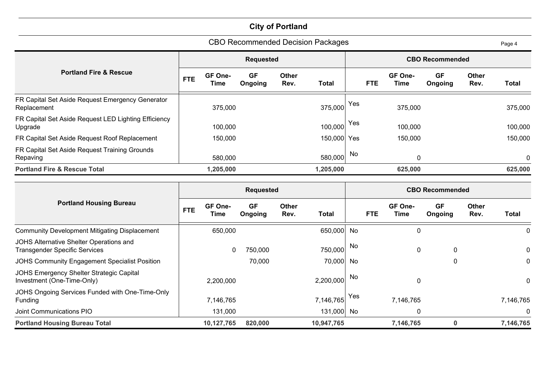| CBO Recommended Decision Packages<br>Page 4                     |                        |                 |                      |                      |       |         |            |                 |                        |                      |       |  |
|-----------------------------------------------------------------|------------------------|-----------------|----------------------|----------------------|-------|---------|------------|-----------------|------------------------|----------------------|-------|--|
|                                                                 |                        |                 | <b>Requested</b>     |                      |       |         |            |                 | <b>CBO Recommended</b> |                      |       |  |
| <b>Portland Fire &amp; Rescue</b>                               | <b>FTE</b>             | GF One-<br>Time | <b>GF</b><br>Ongoing | <b>Other</b><br>Rev. | Total |         | <b>FTE</b> | GF One-<br>Time | <b>GF</b><br>Ongoing   | <b>Other</b><br>Rev. | Total |  |
| FR Capital Set Aside Request Emergency Generator<br>Replacement |                        | 375,000         | 375,000              | Yes<br>375,000       |       |         |            |                 | 375,000                |                      |       |  |
| FR Capital Set Aside Request LED Lighting Efficiency<br>Upgrade |                        | 100,000         | 100,000              | Yes                  |       |         | 100,000    |                 |                        |                      |       |  |
| FR Capital Set Aside Request Roof Replacement                   |                        | 150,000         | 150,000 Yes          |                      |       | 150,000 |            |                 | 150,000                |                      |       |  |
| FR Capital Set Aside Request Training Grounds<br>Repaving       | 580,000<br>580,000     |                 |                      |                      |       |         | No<br>0    |                 |                        |                      |       |  |
| <b>Portland Fire &amp; Rescue Total</b>                         | 1,205,000<br>1,205,000 |                 |                      |                      |       |         | 625,000    |                 |                        |                      |       |  |

|                                                                                 | <b>Requested</b> |                 |                      |                      |            | <b>CBO Recommended</b> |            |                        |                      |                      |              |
|---------------------------------------------------------------------------------|------------------|-----------------|----------------------|----------------------|------------|------------------------|------------|------------------------|----------------------|----------------------|--------------|
| <b>Portland Housing Bureau</b>                                                  | <b>FTE</b>       | GF One-<br>Time | <b>GF</b><br>Ongoing | <b>Other</b><br>Rev. | Total      |                        | <b>FTE</b> | GF One-<br><b>Time</b> | <b>GF</b><br>Ongoing | <b>Other</b><br>Rev. | <b>Total</b> |
| <b>Community Development Mitigating Displacement</b>                            |                  | 650,000         |                      |                      | 650,000 No |                        |            | 0                      |                      |                      | 0            |
| JOHS Alternative Shelter Operations and<br><b>Transgender Specific Services</b> |                  | 0               | 750,000              |                      | 750,000    | No.                    |            | 0                      | 0                    |                      | 0            |
| JOHS Community Engagement Specialist Position                                   |                  |                 | 70,000               |                      | 70,000 No  |                        |            |                        | 0                    |                      | 0            |
| JOHS Emergency Shelter Strategic Capital<br>Investment (One-Time-Only)          |                  | 2,200,000       |                      |                      | 2,200,000  | No                     |            | 0                      |                      |                      | $\mathbf{0}$ |
| JOHS Ongoing Services Funded with One-Time-Only<br>Funding                      |                  | 7,146,765       |                      |                      | 7,146,765  | Yes                    |            | 7,146,765              |                      |                      | 7,146,765    |
| Joint Communications PIO                                                        |                  | 131,000         |                      |                      | 131,000 No |                        |            | 0                      |                      |                      | $\mathbf 0$  |
| <b>Portland Housing Bureau Total</b>                                            |                  | 10,127,765      | 820,000              |                      | 10,947,765 |                        |            | 7,146,765              | $\bf{0}$             |                      | 7,146,765    |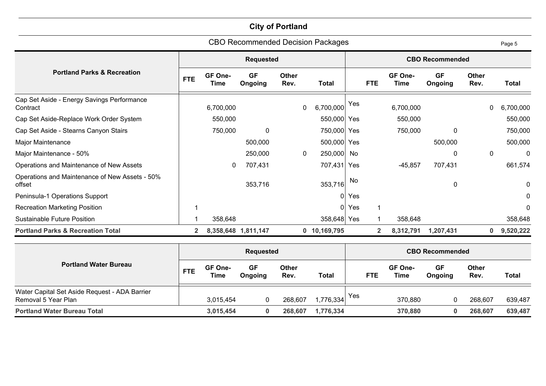|                                                          |              |                 |                      |                      | <b>CBO Recommended Decision Packages</b> |     |                |                 |                        |                      | Page 5       |
|----------------------------------------------------------|--------------|-----------------|----------------------|----------------------|------------------------------------------|-----|----------------|-----------------|------------------------|----------------------|--------------|
|                                                          |              |                 | <b>Requested</b>     |                      |                                          |     |                |                 | <b>CBO Recommended</b> |                      |              |
| <b>Portland Parks &amp; Recreation</b>                   | <b>FTE</b>   | GF One-<br>Time | <b>GF</b><br>Ongoing | <b>Other</b><br>Rev. | Total                                    |     | <b>FTE</b>     | GF One-<br>Time | <b>GF</b><br>Ongoing   | <b>Other</b><br>Rev. | <b>Total</b> |
| Cap Set Aside - Energy Savings Performance<br>Contract   |              | 6,700,000       |                      | 0                    | 6,700,000                                | Yes |                | 6,700,000       |                        | 0                    | 6,700,000    |
| Cap Set Aside-Replace Work Order System                  |              | 550,000         |                      |                      | 550,000                                  | Yes |                | 550,000         |                        |                      | 550,000      |
| Cap Set Aside - Stearns Canyon Stairs                    |              | 750,000         | $\mathbf 0$          |                      | 750,000                                  | Yes |                | 750,000         | 0                      |                      | 750,000      |
| Major Maintenance                                        |              |                 | 500,000              |                      | 500,000                                  | Yes |                |                 | 500,000                |                      | 500,000      |
| Major Maintenance - 50%                                  |              |                 | 250,000              | $\mathbf 0$          | 250,000                                  | No  |                |                 | $\mathbf 0$            | $\mathbf{0}$         | 0            |
| Operations and Maintenance of New Assets                 |              | 0               | 707,431              |                      | 707,431                                  | Yes |                | $-45,857$       | 707,431                |                      | 661,574      |
| Operations and Maintenance of New Assets - 50%<br>offset |              |                 | 353,716              |                      | 353,716                                  | No. |                |                 | $\mathbf 0$            |                      | $\mathbf 0$  |
| Peninsula-1 Operations Support                           |              |                 |                      |                      | $\Omega$                                 | Yes |                |                 |                        |                      | 0            |
| <b>Recreation Marketing Position</b>                     |              |                 |                      |                      | 0                                        | Yes |                |                 |                        |                      | $\mathbf{0}$ |
| <b>Sustainable Future Position</b>                       |              | 358,648         |                      |                      | 358,648                                  | Yes |                | 358,648         |                        |                      | 358,648      |
| <b>Portland Parks &amp; Recreation Total</b>             | $\mathbf{2}$ |                 | 8,358,648 1,811,147  |                      | 0 10,169,795                             |     | $\overline{2}$ | 8,312,791       | 1,207,431              | 0                    | 9,520,222    |

|                                                                      |            |                 | <b>Requested</b>     |               |           | <b>CBO Recommended</b> |                 |                      |                      |         |
|----------------------------------------------------------------------|------------|-----------------|----------------------|---------------|-----------|------------------------|-----------------|----------------------|----------------------|---------|
| <b>Portland Water Bureau</b>                                         | <b>FTE</b> | GF One-<br>Time | <b>GF</b><br>Ongoing | Other<br>Rev. | Total     | <b>FTE</b>             | GF One-<br>Time | <b>GF</b><br>Ongoing | <b>Other</b><br>Rev. | Total   |
| Water Capital Set Aside Request - ADA Barrier<br>Removal 5 Year Plan |            | 3,015,454       | 0                    | 268,607       | 1,776,334 | Yes                    | 370,880         |                      | 268,607              | 639,487 |
| <b>Portland Water Bureau Total</b>                                   |            | 3,015,454       | 0                    | 268,607       | 1,776,334 |                        | 370,880         | 0                    | 268,607              | 639,487 |